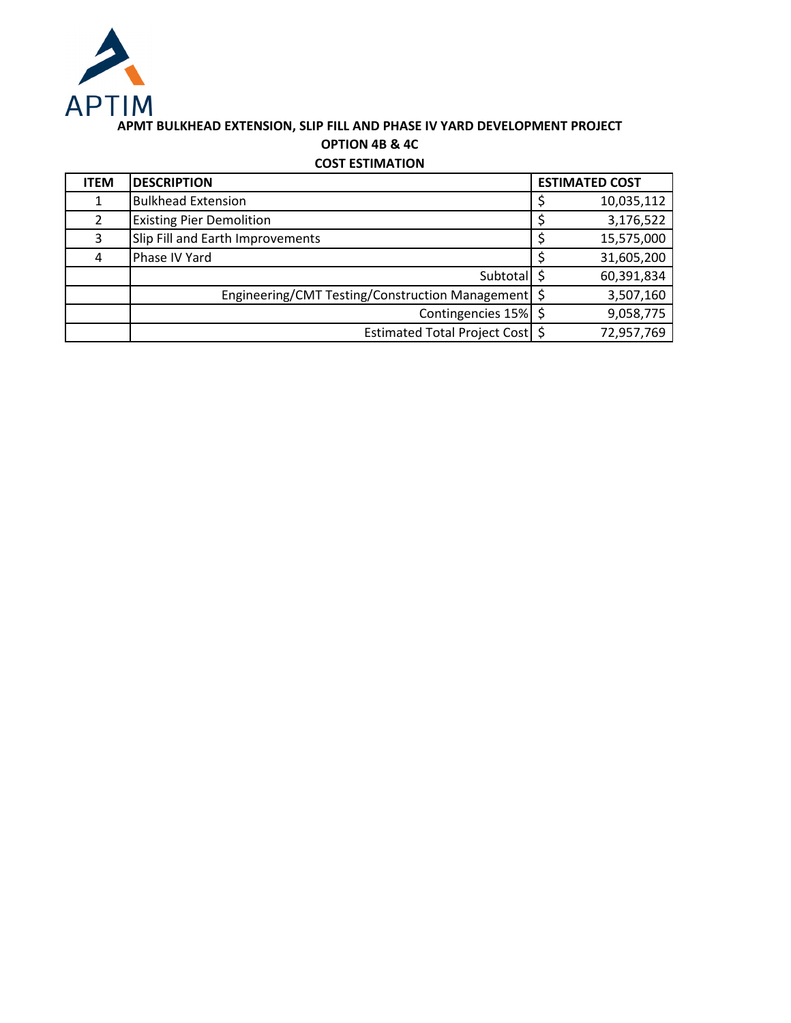

#### **APMT BULKHEAD EXTENSION, SLIP FILL AND PHASE IV YARD DEVELOPMENT PROJECT COST ESTIMATION OPTION 4B & 4C**

| <b>ITEM</b>   | <b>DESCRIPTION</b>                                   |  | <b>ESTIMATED COST</b> |  |
|---------------|------------------------------------------------------|--|-----------------------|--|
|               | <b>Bulkhead Extension</b>                            |  | 10,035,112            |  |
| $\mathcal{P}$ | <b>Existing Pier Demolition</b>                      |  | 3,176,522             |  |
| 3             | Slip Fill and Earth Improvements                     |  | 15,575,000            |  |
|               | Phase IV Yard                                        |  | 31,605,200            |  |
|               | Subtotal \$                                          |  | 60,391,834            |  |
|               | Engineering/CMT Testing/Construction Management   \$ |  | 3,507,160             |  |
|               | Contingencies 15% \$                                 |  | 9,058,775             |  |
|               | Estimated Total Project Cost \$                      |  | 72,957,769            |  |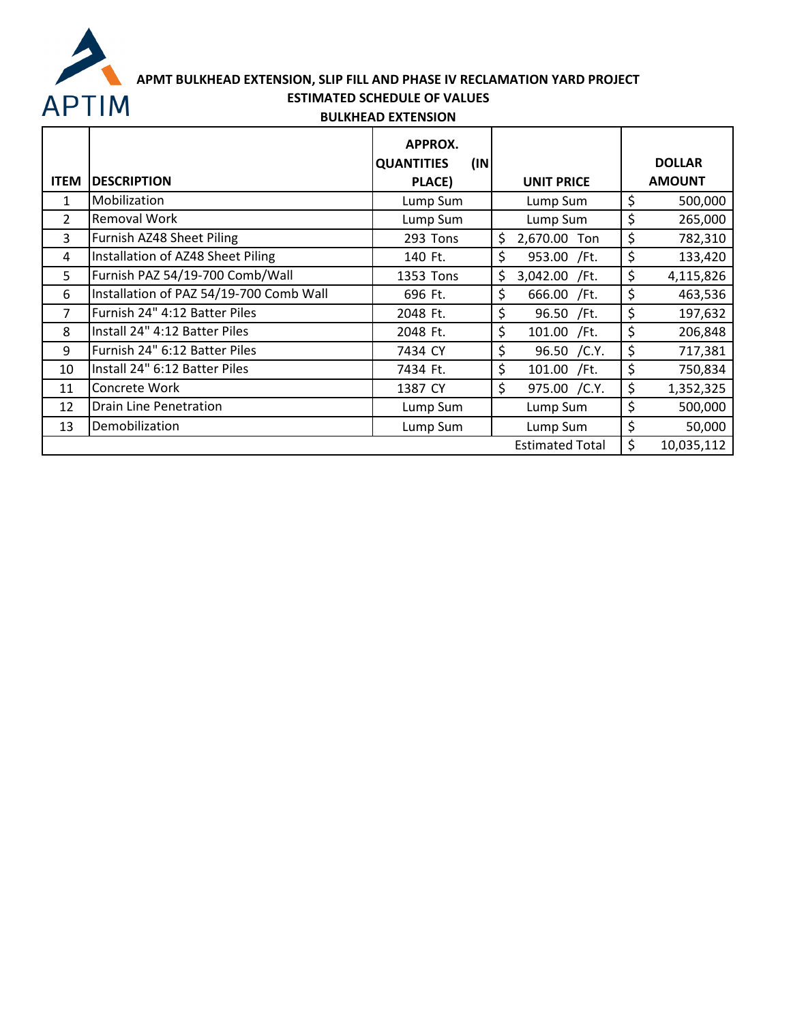

#### **APMT BULKHEAD EXTENSION, SLIP FILL AND PHASE IV RECLAMATION YARD PROJECT**

#### **ESTIMATED SCHEDULE OF VALUES**

| <b>BULKHEAD EXTENSION</b> |  |
|---------------------------|--|
|---------------------------|--|

|                |                                         | APPROX.<br>(IN)<br><b>QUANTITIES</b> |                        | <b>DOLLAR</b>    |
|----------------|-----------------------------------------|--------------------------------------|------------------------|------------------|
| <b>ITEM</b>    | <b>DESCRIPTION</b>                      | PLACE)                               | <b>UNIT PRICE</b>      | <b>AMOUNT</b>    |
| $\mathbf{1}$   | Mobilization                            | Lump Sum                             | Lump Sum               | \$<br>500,000    |
| $\overline{2}$ | <b>Removal Work</b>                     | Lump Sum                             | Lump Sum               | \$<br>265,000    |
| 3              | Furnish AZ48 Sheet Piling               | 293 Tons                             | \$<br>2,670.00 Ton     | \$<br>782,310    |
| 4              | Installation of AZ48 Sheet Piling       | 140 Ft.                              | \$<br>953.00 /Ft.      | \$<br>133,420    |
| 5              | Furnish PAZ 54/19-700 Comb/Wall         | 1353 Tons                            | \$<br>3,042.00 /Ft.    | \$<br>4,115,826  |
| 6              | Installation of PAZ 54/19-700 Comb Wall | 696 Ft.                              | \$<br>666.00 / Ft.     | \$<br>463,536    |
| 7              | Furnish 24" 4:12 Batter Piles           | 2048 Ft.                             | \$<br>96.50 /Ft.       | \$<br>197,632    |
| 8              | Install 24" 4:12 Batter Piles           | 2048 Ft.                             | \$<br>101.00 / Ft.     | \$<br>206,848    |
| 9              | Furnish 24" 6:12 Batter Piles           | 7434 CY                              | \$<br>96.50 / C.Y.     | \$<br>717,381    |
| 10             | Install 24" 6:12 Batter Piles           | 7434 Ft.                             | \$<br>101.00 /Ft.      | \$<br>750,834    |
| 11             | Concrete Work                           | 1387 CY                              | \$<br>975.00 / C.Y.    | \$<br>1,352,325  |
| 12             | Drain Line Penetration                  | Lump Sum                             | Lump Sum               | \$<br>500,000    |
| 13             | Demobilization                          | Lump Sum                             | Lump Sum               | \$<br>50,000     |
|                |                                         |                                      | <b>Estimated Total</b> | \$<br>10,035,112 |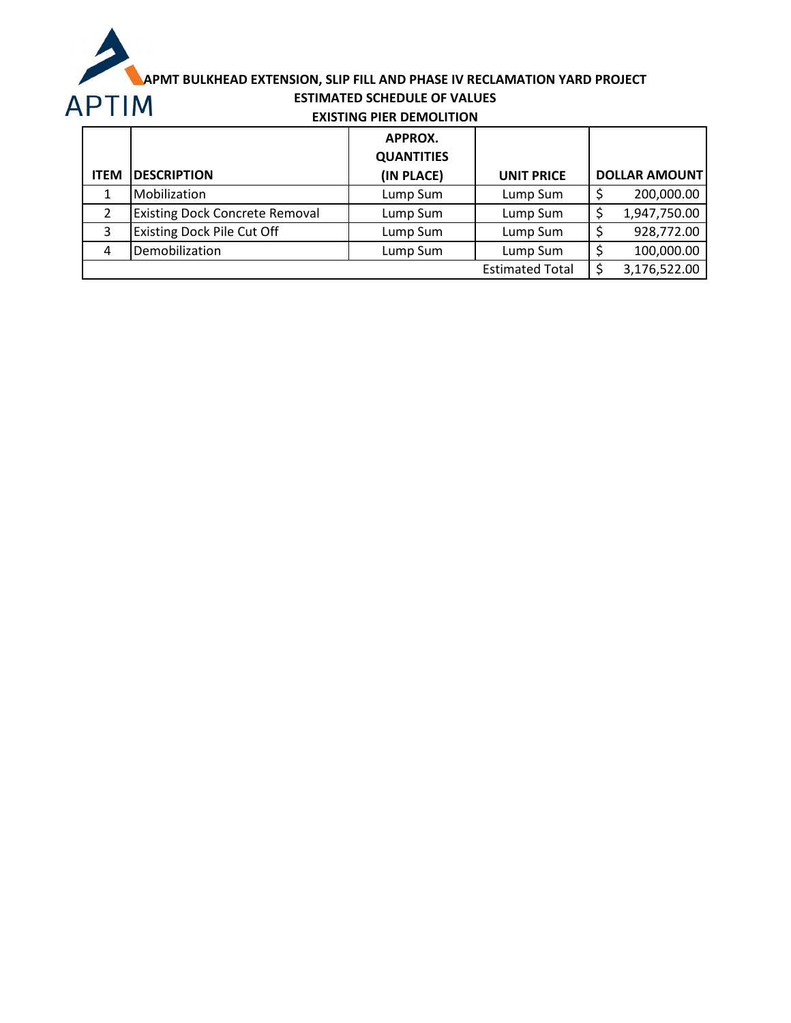

# **APMT BULKHEAD EXTENSION, SLIP FILL AND PHASE IV RECLAMATION YARD PROJECT<br>ESTIMATED SCHEDULE OF VALUES<br>EXISTING PIER DEMOLITION**

#### **EXISTING PIER DEMOLITION ESTIMATED SCHEDULE OF VALUES**

| <b>ITEM</b>   | <b>DESCRIPTION</b>                    | APPROX.<br><b>QUANTITIES</b><br>(IN PLACE) | <b>UNIT PRICE</b>      | <b>DOLLAR AMOUNT</b> |
|---------------|---------------------------------------|--------------------------------------------|------------------------|----------------------|
|               | Mobilization                          | Lump Sum                                   | Lump Sum               | 200,000.00           |
| $\mathcal{P}$ | <b>Existing Dock Concrete Removal</b> | Lump Sum                                   | Lump Sum               | 1,947,750.00         |
| 3             | <b>Existing Dock Pile Cut Off</b>     | Lump Sum                                   | Lump Sum               | 928,772.00           |
| 4             | Demobilization                        | Lump Sum                                   | Lump Sum               | 100,000.00           |
|               |                                       |                                            | <b>Estimated Total</b> | 3,176,522.00         |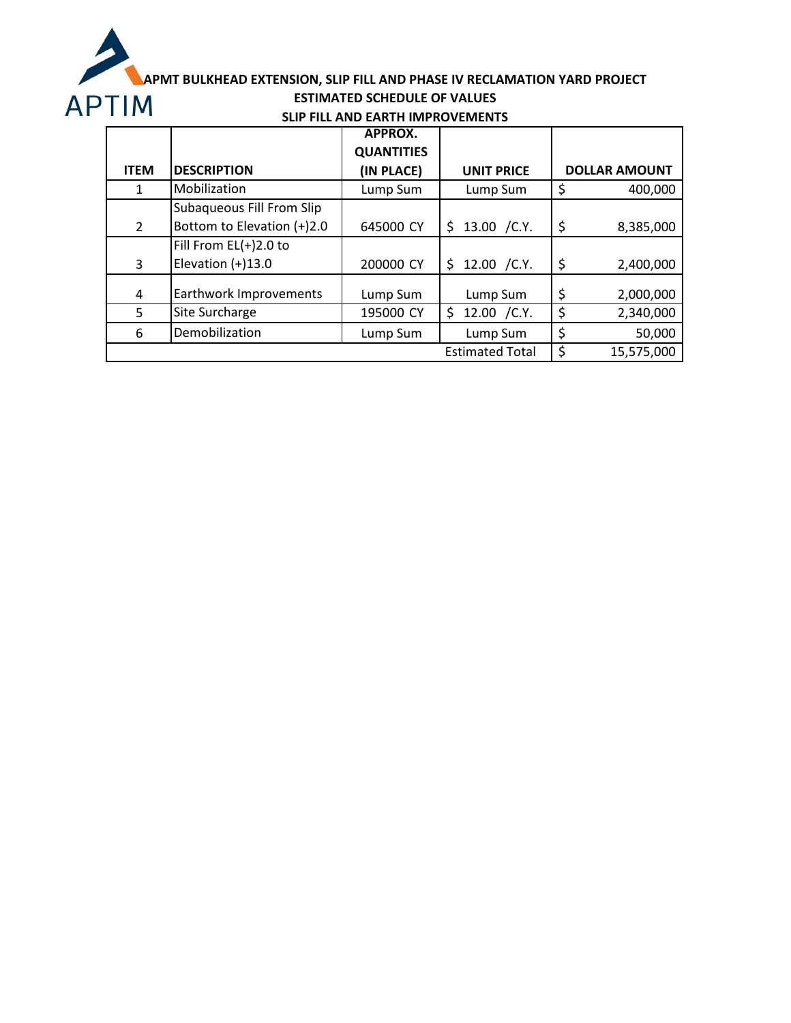

## **APMT BULKHEAD EXTENSION, SLIP FILL AND PHASE IV RECLAMATION YARD PROJECT<br>SLIP FILL AND EARTH IMPROVEMENTS ESTIMATED SCHEDULE OF VALUES**

### **SLIP FILL AND EARTH IMPROVEMENTS**

|             |                            | APPROX.           |                        |                      |
|-------------|----------------------------|-------------------|------------------------|----------------------|
|             |                            | <b>QUANTITIES</b> |                        |                      |
| <b>ITEM</b> | <b>DESCRIPTION</b>         | (IN PLACE)        | <b>UNIT PRICE</b>      | <b>DOLLAR AMOUNT</b> |
|             | Mobilization               | Lump Sum          | Lump Sum               | \$<br>400,000        |
|             | Subaqueous Fill From Slip  |                   |                        |                      |
| 2           | Bottom to Elevation (+)2.0 | 645000 CY         | 13.00 / C. Y.<br>\$.   | \$<br>8,385,000      |
|             | Fill From $EL(+)2.0$ to    |                   |                        |                      |
| 3           | Elevation $(+)13.0$        | 200000 CY         | \$<br>12.00 / C. Y.    | \$<br>2,400,000      |
| 4           | Earthwork Improvements     | Lump Sum          | Lump Sum               | \$<br>2,000,000      |
| 5           | Site Surcharge             | 195000 CY         | \$<br>12.00 / C. Y.    | \$<br>2,340,000      |
| 6           | Demobilization             | Lump Sum          | Lump Sum               | \$<br>50,000         |
|             |                            |                   | <b>Estimated Total</b> | \$<br>15,575,000     |